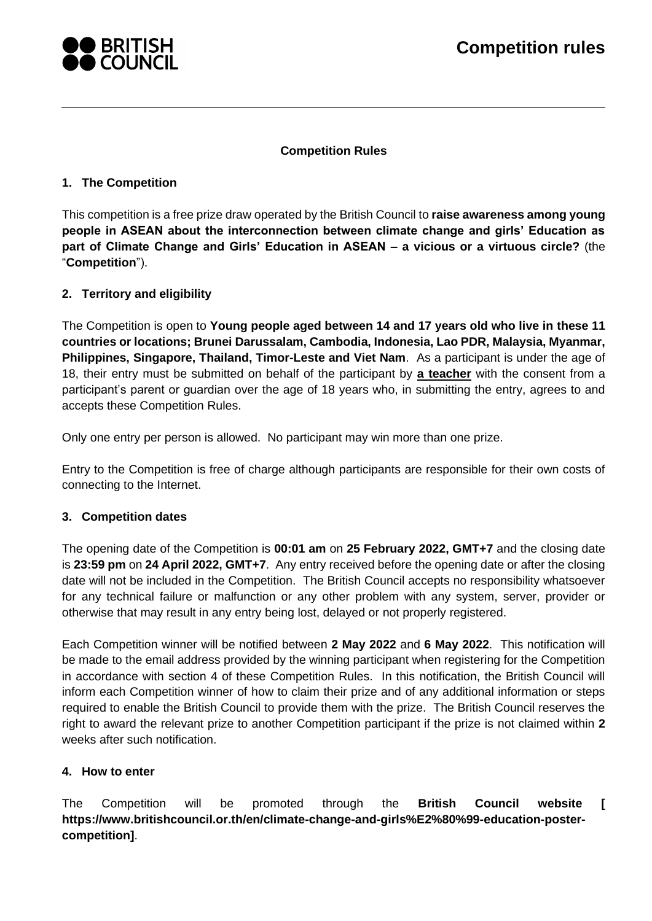

#### **Competition Rules**

### **1. The Competition**

This competition is a free prize draw operated by the British Council to **raise awareness among young people in ASEAN about the interconnection between climate change and girls' Education as part of Climate Change and Girls' Education in ASEAN – a vicious or a virtuous circle?** (the "**Competition**").

# <span id="page-0-1"></span>**2. Territory and eligibility**

The Competition is open to **Young people aged between 14 and 17 years old who live in these 11 countries or locations; Brunei Darussalam, Cambodia, Indonesia, Lao PDR, Malaysia, Myanmar, Philippines, Singapore, Thailand, Timor-Leste and Viet Nam**. As a participant is under the age of 18, their entry must be submitted on behalf of the participant by **a teacher** with the consent from a participant's parent or guardian over the age of 18 years who, in submitting the entry, agrees to and accepts these Competition Rules.

Only one entry per person is allowed. No participant may win more than one prize.

Entry to the Competition is free of charge although participants are responsible for their own costs of connecting to the Internet.

#### **3. Competition dates**

The opening date of the Competition is **00:01 am** on **25 February 2022, GMT+7** and the closing date is **23:59 pm** on **24 April 2022, GMT+7**. Any entry received before the opening date or after the closing date will not be included in the Competition. The British Council accepts no responsibility whatsoever for any technical failure or malfunction or any other problem with any system, server, provider or otherwise that may result in any entry being lost, delayed or not properly registered.

Each Competition winner will be notified between **2 May 2022** and **6 May 2022**. This notification will be made to the email address provided by the winning participant when registering for the Competition in accordance with section 4 of these Competition Rules. In this notification, the British Council will inform each Competition winner of how to claim their prize and of any additional information or steps required to enable the British Council to provide them with the prize. The British Council reserves the right to award the relevant prize to another Competition participant if the prize is not claimed within **2** weeks after such notification.

#### <span id="page-0-0"></span>**4. How to enter**

The Competition will be promoted through the **British Council website [ https://www.britishcouncil.or.th/en/climate-change-and-girls%E2%80%99-education-postercompetition]**.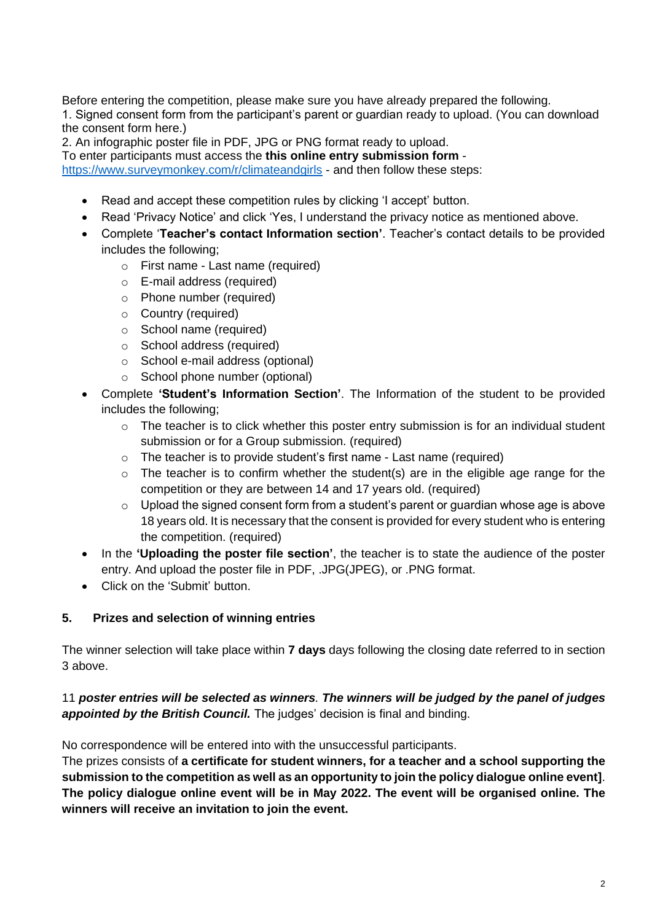Before entering the competition, please make sure you have already prepared the following.

1. Signed consent form from the participant's parent or guardian ready to upload. (You can download the consent form here.)

2. An infographic poster file in PDF, JPG or PNG format ready to upload.

To enter participants must access the **this online entry submission form** -

<https://www.surveymonkey.com/r/climateandgirls> - and then follow these steps:

- Read and accept these competition rules by clicking 'I accept' button.
- Read 'Privacy Notice' and click 'Yes, I understand the privacy notice as mentioned above.
- Complete '**Teacher's contact Information section'**. Teacher's contact details to be provided includes the following;
	- o First name Last name (required)
	- o E-mail address (required)
	- o Phone number (required)
	- o Country (required)
	- o School name (required)
	- o School address (required)
	- o School e-mail address (optional)
	- o School phone number (optional)
- Complete **'Student's Information Section'**. The Information of the student to be provided includes the following;
	- $\circ$  The teacher is to click whether this poster entry submission is for an individual student submission or for a Group submission. (required)
	- o The teacher is to provide student's first name Last name (required)
	- $\circ$  The teacher is to confirm whether the student(s) are in the eligible age range for the competition or they are between 14 and 17 years old. (required)
	- o Upload the signed consent form from a student's parent or guardian whose age is above 18 years old. It is necessary that the consent is provided for every student who is entering the competition. (required)
- In the **'Uploading the poster file section'**, the teacher is to state the audience of the poster entry. And upload the poster file in PDF, .JPG(JPEG), or .PNG format.
- Click on the 'Submit' button.

#### <span id="page-1-0"></span>**5. Prizes and selection of winning entries**

The winner selection will take place within **7 days** days following the closing date referred to in section 3 above.

#### 11 *poster entries will be selected as winners. The winners will be judged by the panel of judges appointed by the British Council.* The judges' decision is final and binding.

No correspondence will be entered into with the unsuccessful participants.

The prizes consists of **a certificate for student winners, for a teacher and a school supporting the submission to the competition as well as an opportunity to join the policy dialogue online event]**. **The policy dialogue online event will be in May 2022. The event will be organised online. The winners will receive an invitation to join the event.**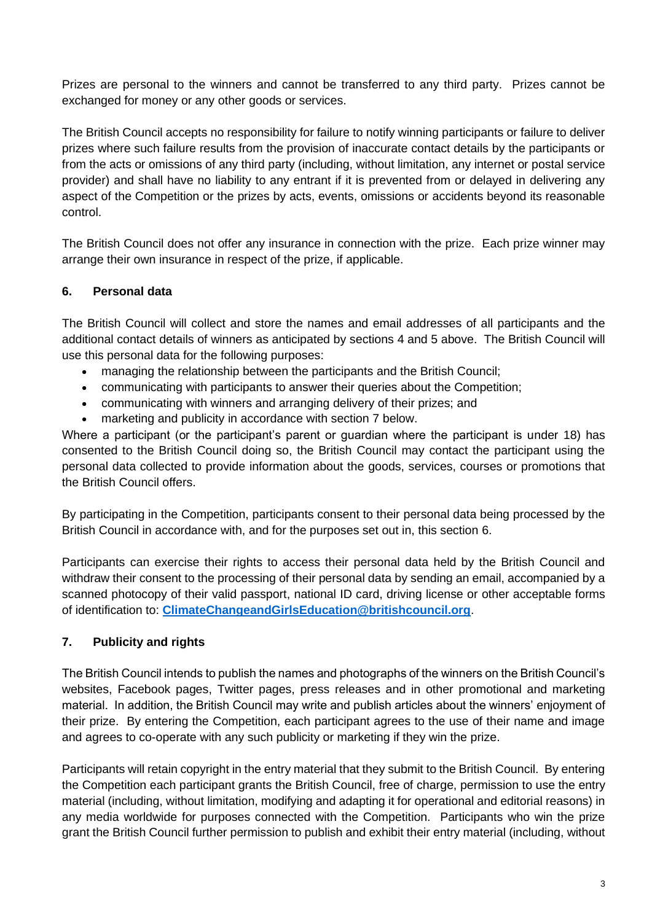Prizes are personal to the winners and cannot be transferred to any third party. Prizes cannot be exchanged for money or any other goods or services.

The British Council accepts no responsibility for failure to notify winning participants or failure to deliver prizes where such failure results from the provision of inaccurate contact details by the participants or from the acts or omissions of any third party (including, without limitation, any internet or postal service provider) and shall have no liability to any entrant if it is prevented from or delayed in delivering any aspect of the Competition or the prizes by acts, events, omissions or accidents beyond its reasonable control.

The British Council does not offer any insurance in connection with the prize. Each prize winner may arrange their own insurance in respect of the prize, if applicable.

# <span id="page-2-1"></span>**6. Personal data**

The British Council will collect and store the names and email addresses of all participants and the additional contact details of winners as anticipated by sections [4](#page-0-0) and [5](#page-1-0) above. The British Council will use this personal data for the following purposes:

- managing the relationship between the participants and the British Council;
- communicating with participants to answer their queries about the Competition;
- communicating with winners and arranging delivery of their prizes; and
- marketing and publicity in accordance with section [7](#page-2-0) below.

Where a participant (or the participant's parent or guardian where the participant is under 18) has consented to the British Council doing so, the British Council may contact the participant using the personal data collected to provide information about the goods, services, courses or promotions that the British Council offers.

By participating in the Competition, participants consent to their personal data being processed by the British Council in accordance with, and for the purposes set out in, this section [6.](#page-2-1)

Participants can exercise their rights to access their personal data held by the British Council and withdraw their consent to the processing of their personal data by sending an email, accompanied by a scanned photocopy of their valid passport, national ID card, driving license or other acceptable forms of identification to: **[ClimateChangeandGirlsEducation@britishcouncil.org](mailto:ClimateChangeandGirlsEducation@britishcouncil.org)**.

# <span id="page-2-0"></span>**7. Publicity and rights**

The British Council intends to publish the names and photographs of the winners on the British Council's websites, Facebook pages, Twitter pages, press releases and in other promotional and marketing material. In addition, the British Council may write and publish articles about the winners' enjoyment of their prize. By entering the Competition, each participant agrees to the use of their name and image and agrees to co-operate with any such publicity or marketing if they win the prize.

Participants will retain copyright in the entry material that they submit to the British Council. By entering the Competition each participant grants the British Council, free of charge, permission to use the entry material (including, without limitation, modifying and adapting it for operational and editorial reasons) in any media worldwide for purposes connected with the Competition. Participants who win the prize grant the British Council further permission to publish and exhibit their entry material (including, without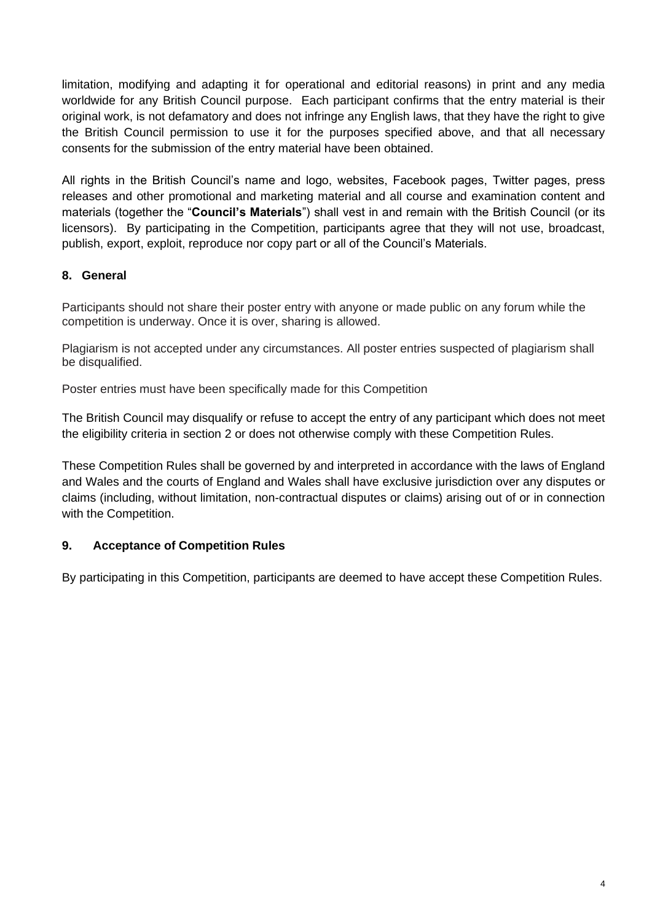limitation, modifying and adapting it for operational and editorial reasons) in print and any media worldwide for any British Council purpose. Each participant confirms that the entry material is their original work, is not defamatory and does not infringe any English laws, that they have the right to give the British Council permission to use it for the purposes specified above, and that all necessary consents for the submission of the entry material have been obtained.

All rights in the British Council's name and logo, websites, Facebook pages, Twitter pages, press releases and other promotional and marketing material and all course and examination content and materials (together the "**Council's Materials**") shall vest in and remain with the British Council (or its licensors). By participating in the Competition, participants agree that they will not use, broadcast, publish, export, exploit, reproduce nor copy part or all of the Council's Materials.

#### **8. General**

Participants should not share their poster entry with anyone or made public on any forum while the competition is underway. Once it is over, sharing is allowed.

Plagiarism is not accepted under any circumstances. All poster entries suspected of plagiarism shall be disqualified.

Poster entries must have been specifically made for this Competition

The British Council may disqualify or refuse to accept the entry of any participant which does not meet the eligibility criteria in section [2](#page-0-1) or does not otherwise comply with these Competition Rules.

These Competition Rules shall be governed by and interpreted in accordance with the laws of England and Wales and the courts of England and Wales shall have exclusive jurisdiction over any disputes or claims (including, without limitation, non-contractual disputes or claims) arising out of or in connection with the Competition.

#### **9. Acceptance of Competition Rules**

By participating in this Competition, participants are deemed to have accept these Competition Rules.